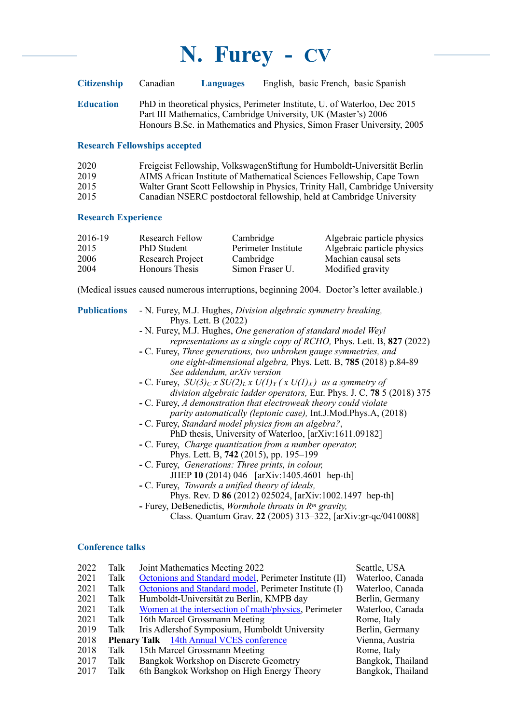| <b>Citizenship</b> | Canadian | <b>Languages</b> | English, basic French, basic Spanish                                                                                                        |
|--------------------|----------|------------------|---------------------------------------------------------------------------------------------------------------------------------------------|
| <b>Education</b>   |          |                  | PhD in theoretical physics, Perimeter Institute, U. of Waterloo, Dec 2015<br>Part III Mathematics, Cambridge University, UK (Master's) 2006 |
|                    |          |                  | Honours B.Sc. in Mathematics and Physics, Simon Fraser University, 2005                                                                     |

## **Research Fellowships accepted**

| 2020 | Freigeist Fellowship, Volkswagen Stiftung for Humboldt-Universität Berlin    |
|------|------------------------------------------------------------------------------|
| 2019 | AIMS African Institute of Mathematical Sciences Fellowship, Cape Town        |
| 2015 | Walter Grant Scott Fellowship in Physics, Trinity Hall, Cambridge University |
| 2015 | Canadian NSERC postdoctoral fellowship, held at Cambridge University         |

### **Research Experience**

| 2016-19 | Research Fellow       | Cambridge           | Algebraic particle physics |
|---------|-----------------------|---------------------|----------------------------|
| 2015    | <b>PhD</b> Student    | Perimeter Institute | Algebraic particle physics |
| 2006    | Research Project      | Cambridge           | Machian causal sets        |
| 2004    | <b>Honours</b> Thesis | Simon Fraser U.     | Modified gravity           |

(Medical issues caused numerous interruptions, beginning 2004. Doctor's letter available.)

| <b>Publications</b> |                         | - N. Furey, M.J. Hughes, Division algebraic symmetry breaking,<br>Phys. Lett. B (2022)<br>- N. Furey, M.J. Hughes, One generation of standard model Weyl<br>representations as a single copy of RCHO, Phys. Lett. B, 827 (2022)<br>- C. Furey, Three generations, two unbroken gauge symmetries, and<br>one eight-dimensional algebra, Phys. Lett. B, 785 (2018) p.84-89<br>See addendum, arXiv version<br>- C. Furey, $SU(3)_C x SU(2)_L x U(1)_Y (x U(1)_X)$ as a symmetry of<br>division algebraic ladder operators, Eur. Phys. J. C, 78 5 (2018) 375<br>- C. Furey, A demonstration that electroweak theory could violate<br>parity automatically (leptonic case), Int.J.Mod.Phys.A, (2018)<br>- C. Furey, Standard model physics from an algebra?,<br>PhD thesis, University of Waterloo, [arXiv:1611.09182]<br>- C. Furey, <i>Charge quantization from a number operator</i> ,<br>Phys. Lett. B, 742 (2015), pp. 195–199<br>- C. Furey, <i>Generations: Three prints, in colour,</i><br>JHEP 10 (2014) 046 [arXiv:1405.4601 hep-th]<br>- C. Furey, Towards a unified theory of ideals,<br>Phys. Rev. D 86 (2012) 025024, [arXiv:1002.1497 hep-th]<br>- Furey, DeBenedictis, Wormhole throats in $Rm$ gravity,<br>Class. Quantum Grav. 22 (2005) 313–322, [arXiv:gr-qc/0410088] |
|---------------------|-------------------------|--------------------------------------------------------------------------------------------------------------------------------------------------------------------------------------------------------------------------------------------------------------------------------------------------------------------------------------------------------------------------------------------------------------------------------------------------------------------------------------------------------------------------------------------------------------------------------------------------------------------------------------------------------------------------------------------------------------------------------------------------------------------------------------------------------------------------------------------------------------------------------------------------------------------------------------------------------------------------------------------------------------------------------------------------------------------------------------------------------------------------------------------------------------------------------------------------------------------------------------------------------------------------------------|
|                     | <b>Conference talks</b> |                                                                                                                                                                                                                                                                                                                                                                                                                                                                                                                                                                                                                                                                                                                                                                                                                                                                                                                                                                                                                                                                                                                                                                                                                                                                                      |
| 2022<br>0.021       | Talk<br>$T = 11$        | Joint Mathematics Meeting 2022<br>Seattle, USA<br>$10.111 \times 110^{-4}$ $110^{-4}$ $110^{-4}$<br>$\sim$ $\sim$                                                                                                                                                                                                                                                                                                                                                                                                                                                                                                                                                                                                                                                                                                                                                                                                                                                                                                                                                                                                                                                                                                                                                                    |

| 2021 | Talk | Octonions and Standard model, Perimeter Institute (II) | Waterloo, Canada  |
|------|------|--------------------------------------------------------|-------------------|
| 2021 | Talk | Octonions and Standard model, Perimeter Institute (I)  | Waterloo, Canada  |
| 2021 | Talk | Humboldt-Universität zu Berlin, KMPB day               | Berlin, Germany   |
| 2021 | Talk | Women at the intersection of math/physics, Perimeter   | Waterloo, Canada  |
| 2021 | Talk | 16th Marcel Grossmann Meeting                          | Rome, Italy       |
| 2019 | Talk | Iris Adlershof Symposium, Humboldt University          | Berlin, Germany   |
| 2018 |      | <b>Plenary Talk</b> 14th Annual VCES conference        | Vienna, Austria   |
| 2018 | Talk | 15th Marcel Grossmann Meeting                          | Rome, Italy       |
| 2017 | Talk | Bangkok Workshop on Discrete Geometry                  | Bangkok, Thailand |
| 2017 | Talk | 6th Bangkok Workshop on High Energy Theory             | Bangkok, Thailand |
|      |      |                                                        |                   |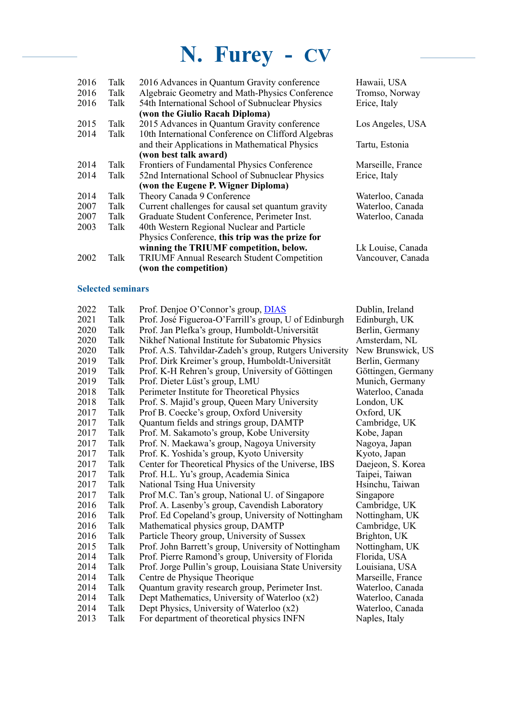| 2016 | Talk | 2016 Advances in Quantum Gravity conference        | Hawaii, USA       |
|------|------|----------------------------------------------------|-------------------|
| 2016 | Talk | Algebraic Geometry and Math-Physics Conference     | Tromso, Norway    |
| 2016 | Talk | 54th International School of Subnuclear Physics    | Erice, Italy      |
|      |      | (won the Giulio Racah Diploma)                     |                   |
| 2015 | Talk | 2015 Advances in Quantum Gravity conference        | Los Angeles, USA  |
| 2014 | Talk | 10th International Conference on Clifford Algebras |                   |
|      |      | and their Applications in Mathematical Physics     | Tartu, Estonia    |
|      |      | (won best talk award)                              |                   |
| 2014 | Talk | Frontiers of Fundamental Physics Conference        | Marseille, France |
| 2014 | Talk | 52nd International School of Subnuclear Physics    | Erice, Italy      |
|      |      | (won the Eugene P. Wigner Diploma)                 |                   |
| 2014 | Talk | Theory Canada 9 Conference                         | Waterloo, Canada  |
| 2007 | Talk | Current challenges for causal set quantum gravity  | Waterloo, Canada  |
| 2007 | Talk | Graduate Student Conference, Perimeter Inst.       | Waterloo, Canada  |
| 2003 | Talk | 40th Western Regional Nuclear and Particle         |                   |
|      |      | Physics Conference, this trip was the prize for    |                   |
|      |      | winning the TRIUMF competition, below.             | Lk Louise, Canada |
| 2002 | Talk | <b>TRIUMF Annual Research Student Competition</b>  | Vancouver, Canada |
|      |      | (won the competition)                              |                   |
|      |      |                                                    |                   |

## **Selected seminars**

| 2022 | Talk | Prof. Denjoe O'Connor's group, <b>DIAS</b>             | Dublin, Ireland    |
|------|------|--------------------------------------------------------|--------------------|
| 2021 | Talk | Prof. José Figueroa-O'Farrill's group, U of Edinburgh  | Edinburgh, UK      |
| 2020 | Talk | Prof. Jan Plefka's group, Humboldt-Universität         | Berlin, Germany    |
| 2020 | Talk | Nikhef National Institute for Subatomic Physics        | Amsterdam, NL      |
| 2020 | Talk | Prof. A.S. Tahvildar-Zadeh's group, Rutgers University | New Brunswick, US  |
| 2019 | Talk | Prof. Dirk Kreimer's group, Humboldt-Universität       | Berlin, Germany    |
| 2019 | Talk | Prof. K-H Rehren's group, University of Göttingen      | Göttingen, Germany |
| 2019 | Talk | Prof. Dieter Lüst's group, LMU                         | Munich, Germany    |
| 2018 | Talk | Perimeter Institute for Theoretical Physics            | Waterloo, Canada   |
| 2018 | Talk | Prof. S. Majid's group, Queen Mary University          | London, UK         |
| 2017 | Talk | Prof B. Coecke's group, Oxford University              | Oxford, UK         |
| 2017 | Talk | Quantum fields and strings group, DAMTP                | Cambridge, UK      |
| 2017 | Talk | Prof. M. Sakamoto's group, Kobe University             | Kobe, Japan        |
| 2017 | Talk | Prof. N. Maekawa's group, Nagoya University            | Nagoya, Japan      |
| 2017 | Talk | Prof. K. Yoshida's group, Kyoto University             | Kyoto, Japan       |
| 2017 | Talk | Center for Theoretical Physics of the Universe, IBS    | Daejeon, S. Korea  |
| 2017 | Talk | Prof. H.L. Yu's group, Academia Sinica                 | Taipei, Taiwan     |
| 2017 | Talk | National Tsing Hua University                          | Hsinchu, Taiwan    |
| 2017 | Talk | Prof M.C. Tan's group, National U. of Singapore        | Singapore          |
| 2016 | Talk | Prof. A. Lasenby's group, Cavendish Laboratory         | Cambridge, UK      |
| 2016 | Talk | Prof. Ed Copeland's group, University of Nottingham    | Nottingham, UK     |
| 2016 | Talk | Mathematical physics group, DAMTP                      | Cambridge, UK      |
| 2016 | Talk | Particle Theory group, University of Sussex            | Brighton, UK       |
| 2015 | Talk | Prof. John Barrett's group, University of Nottingham   | Nottingham, UK     |
| 2014 | Talk | Prof. Pierre Ramond's group, University of Florida     | Florida, USA       |
| 2014 | Talk | Prof. Jorge Pullin's group, Louisiana State University | Louisiana, USA     |
| 2014 | Talk | Centre de Physique Theorique                           | Marseille, France  |
| 2014 | Talk | Quantum gravity research group, Perimeter Inst.        | Waterloo, Canada   |
| 2014 | Talk | Dept Mathematics, University of Waterloo (x2)          | Waterloo, Canada   |
| 2014 | Talk | Dept Physics, University of Waterloo (x2)              | Waterloo, Canada   |
| 2013 | Talk | For department of theoretical physics INFN             | Naples, Italy      |
|      |      |                                                        |                    |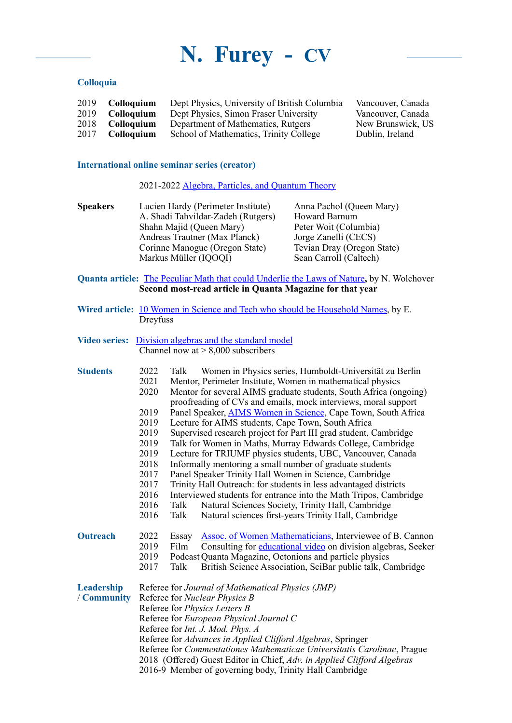### **Colloquia**

| 2019 Colloquium    | Dept Physics, University of British Columbia | Vancouver, Canada |
|--------------------|----------------------------------------------|-------------------|
| 2019<br>Colloquium | Dept Physics, Simon Fraser University        | Vancouver, Canada |
| Colloauium         | Department of Mathematics, Rutgers           | New Brunswick, US |
| <b>Colloguium</b>  | School of Mathematics, Trinity College       | Dublin, Ireland   |
|                    |                                              |                   |

#### **International online seminar series (creator)**

2021-2022 [Algebra, Particles, and Quantum Theory](https://www.furey.space/)

**Speakers** Lucien Hardy (Perimeter Institute) Anna Pachol (Queen Mary) A. Shadi Tahvildar-Zadeh (Rutgers) Howard Barnum A. Shadi Tahvildar-Zadeh (Rutgers) Howard Barnum<br>Shahn Majid (Queen Mary) Peter Woit (Columbia) Shahn Majid (Queen Mary)<br>
Andreas Trautner (Max Planck) Jorge Zanelli (CECS) Andreas Trautner (Max Planck) Jorge Zanelli (CECS)<br>Corinne Manogue (Oregon State) Tevian Dray (Oregon State) Corinne Manogue (Oregon State) Tevian Dray (Oregon State)<br>Markus Müller (IQOQI) Sean Carroll (Caltech) Markus Müller (IQOQI)

**Quanta article:** [The Peculiar Math that could Underlie the Laws of Nature](https://www.quantamagazine.org/the-octonion-math-that-could-underpin-physics-20180720/)**,** by N. Wolchover **Second most-read article in Quanta Magazine for that year**

- **Wired article:** 10 Women in Science and Tech who should be [Household](https://www.wired.com/story/10-women-science-tech-household-names/) Names, by E. **Dreyfuss**
- **Video series:** [Division algebras and the standard model](https://www.youtube.com/channel/UCvsmxUuD5ZdOGittaeosXMA) Channel now at  $> 8,000$  subscribers

| <b>Students</b> | 2022                                                                    | Talk                                                              | Women in Physics series, Humboldt-Universität zu Berlin               |  |
|-----------------|-------------------------------------------------------------------------|-------------------------------------------------------------------|-----------------------------------------------------------------------|--|
|                 | 2021                                                                    |                                                                   | Mentor, Perimeter Institute, Women in mathematical physics            |  |
|                 | 2020                                                                    | Mentor for several AIMS graduate students, South Africa (ongoing) |                                                                       |  |
|                 |                                                                         |                                                                   | proofreading of CVs and emails, mock interviews, moral support        |  |
|                 | 2019                                                                    |                                                                   | Panel Speaker, <b>AIMS Women in Science</b> , Cape Town, South Africa |  |
|                 | 2019                                                                    |                                                                   | Lecture for AIMS students, Cape Town, South Africa                    |  |
|                 | 2019                                                                    |                                                                   | Supervised research project for Part III grad student, Cambridge      |  |
|                 | 2019                                                                    | Talk for Women in Maths, Murray Edwards College, Cambridge        |                                                                       |  |
|                 | 2019                                                                    | Lecture for TRIUMF physics students, UBC, Vancouver, Canada       |                                                                       |  |
|                 | 2018                                                                    | Informally mentoring a small number of graduate students          |                                                                       |  |
|                 | 2017                                                                    |                                                                   | Panel Speaker Trinity Hall Women in Science, Cambridge                |  |
|                 | 2017                                                                    |                                                                   | Trinity Hall Outreach: for students in less advantaged districts      |  |
|                 | 2016                                                                    |                                                                   | Interviewed students for entrance into the Math Tripos, Cambridge     |  |
|                 | 2016                                                                    | Talk                                                              | Natural Sciences Society, Trinity Hall, Cambridge                     |  |
|                 | 2016                                                                    | Talk                                                              | Natural sciences first-years Trinity Hall, Cambridge                  |  |
| <b>Outreach</b> | 2022                                                                    | Essay                                                             | <b>Assoc. of Women Mathematicians, Interviewee of B. Cannon</b>       |  |
|                 | 2019                                                                    | Film                                                              | Consulting for educational video on division algebras, Seeker         |  |
|                 | 2019                                                                    |                                                                   | Podcast Quanta Magazine, Octonions and particle physics               |  |
|                 | 2017                                                                    | Talk                                                              | British Science Association, SciBar public talk, Cambridge            |  |
| Leadership      |                                                                         |                                                                   | Referee for Journal of Mathematical Physics (JMP)                     |  |
| / Community     | Referee for <i>Nuclear Physics B</i>                                    |                                                                   |                                                                       |  |
|                 | Referee for <i>Physics Letters B</i>                                    |                                                                   |                                                                       |  |
|                 | Referee for European Physical Journal C                                 |                                                                   |                                                                       |  |
|                 | Referee for Int. J. Mod. Phys. A                                        |                                                                   |                                                                       |  |
|                 | Referee for Advances in Applied Clifford Algebras, Springer             |                                                                   |                                                                       |  |
|                 | Referee for Commentationes Mathematicae Universitatis Carolinae, Prague |                                                                   |                                                                       |  |
|                 | 2018 (Offered) Guest Editor in Chief, Adv. in Applied Clifford Algebras |                                                                   |                                                                       |  |
|                 |                                                                         |                                                                   | 2016-9 Member of governing body, Trinity Hall Cambridge               |  |